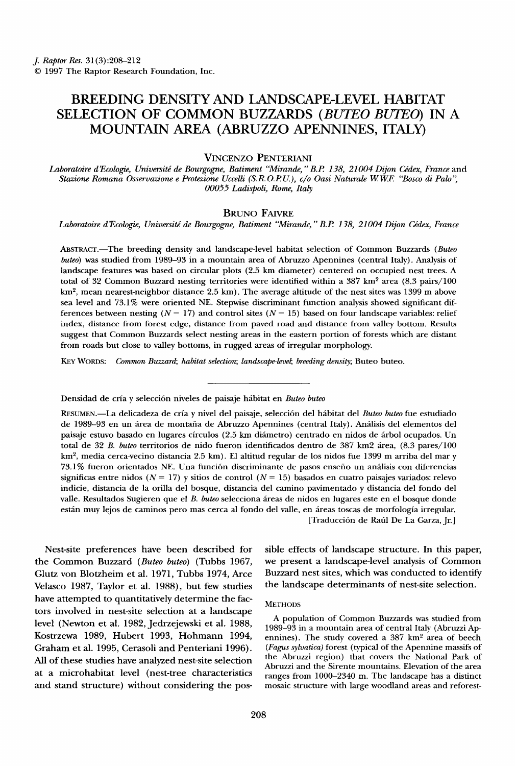# **BREEDING DENSITY AND LANDSCAPE-LEVEL HABITAT SELECTION OF COMMON BUZZARDS (BUTEO BUTEO) IN A MOUNTAIN AREA (ABRUZZO APENNINES, ITALY)**

## **VINCENZO PENTERIANI**

**Laboratoire d•Ecologie, Universitg de Bourgogne, Batiment "Mirande, "B.P. 138, 21004 Dijon Cgdex, France and Stazione Romana Osservazione Protezione Uccelli (S.P• O.P..U.), c/o Oasi Naturale W.W.E "Bosco di Palo '• 00055 Ladispoli, Rome, Italy** 

# **BRUNO FAIVRE**

Laboratoire d'Ecologie, Université de Bourgogne, Batiment "Mirande," B.P. 138, 21004 Dijon Cédex, France

**ABST•ACT.--The breeding density and landscape-level habitat selection of Common Buzzards (Buteo buteo) was studied from 1989-93 in a mountain area of Abruzzo Apennines (central Italy). Analysis of landscape features was based on circular plots (2.5 km diameter) centered on occupied nest trees. A**  total of 32 Common Buzzard nesting territories were identified within a 387 km<sup>2</sup> area (8.3 pairs/100 **km 2, mean nearest-neighbor distance 2.5 km). The average altitude of the nest sites was 1399 m above**  sea level and 73.1% were oriented NE. Stepwise discriminant function analysis showed significant differences between nesting  $(N = 17)$  and control sites  $(N = 15)$  based on four landscape variables: relief **index, distance from forest edge, distance from paved road and distance from valley bottom. Results suggest that Common Buzzards select nesting areas in the eastern portion of forests which are distant from roads but close to valley bottoms, in rugged areas of irregular morphology.** 

**K•Y WORDS: Common Buzzard; habitat selection; landscape-level; breeding density; Buteo buteo.** 

Densidad de cría y selección niveles de paisaje hábitat en Buteo buteo

**RESUMEN.-•La delicadeza de cria y nivel del paisaje, selecci6n del hfbitat del Buteo buteo rue estudiado de 1989-93 en un frea de montafia de Abruzzo Apennines (central Italy). Anflisis del elementos del paisaje estuvo basado en lugares circulos (2.5 km difimetro) centrado en nidos de frbol ocupados. Un**  total de 32 B. buteo territorios de nido fueron identificados dentro de 387 km2 área, (8.3 pares/100 **km 2, media cerca-vecino distancia 2.5 km). E1 altitud regular de los nidos rue 1399 m arriba del mar y 73.1% fueron orientados NE. Una funci6n discriminante de pasos ensefio un anflisis con diferencias**  significas entre nidos ( $N = 17$ ) y sitios de control ( $N = 15$ ) basados en cuatro paisajes variados: relevo **indicie, distancia de la orilla del bosque, distancia del camino pavimentado y distancia del fondo del valle. Resultados Sugieren que el B. buteo selecciona fireas de nidos en lugares este en el bosque donde**  están muy lejos de caminos pero mas cerca al fondo del valle, en áreas toscas de morfología irregular.

**[Traducci6n de Rafil De La Garza, Jr.]** 

**Nest-site preferences have been described for the Common Buzzard (Buteo buteo) (Tubbs 1967, Glutz von Blotzheim et al. 1971, Tubbs 1974, Arce Velasco 1987, Taylor et al. 1988), but few studies have attempted to quantitatively determine the factors involved in nest-site selection at a landscape level (Newton et al. 1982, Jedrzejewski et al. 1988, Kostrzewa 1989, Hubert 1993, Hohmann 1994, Graham et al. 1995, Cerasoli and Penteriani 1996). All of these studies have analyzed nest-site selection at a microhabitat level (nest-tree characteristics and stand structure) without considering the pos-** **sible effects of landscape structure. In this paper, we present a landscape-level analysis of Common Buzzard nest sites, which was conducted to identify the landscape determinants of nest-site selection.** 

### **METHODS**

**A population of Common Buzzards was studied from 1989-93 in a mountain area of central Italy (Abruzzi Ap**ennines). The study covered a 387 km<sup>2</sup> area of beech **(Fagus sylvatica) forest (typical of the Apennine massifs of the Abruzzi region) that covers the National Park of Abruzzi and the Sirente mountains. Elevation of the area ranges from 1000-2340 m. The landscape has a distinct mosaic structure with large woodland areas and reforest-**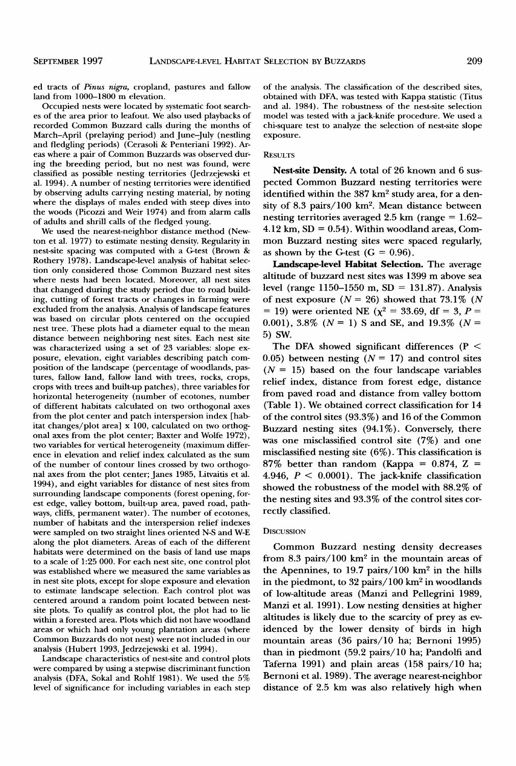**ed tracts of Pinus nigra, cropland, pastures and fallow land from 1000-1800 m elevation.** 

**Occupied nests were located by systematic foot searches of the area prior to leafout. We also used playbacks of recorded Common Buzzard calls during the months of March-April (prelaying period) and June-July (nesding and fledgling periods) (Cerasoli & Penteriani 1992). Areas where a pair of Common Buzzards was observed during the breeding period, but no nest was found, were classified as possible nesting territories (Jedrzejewski et al. 1994). A number of nesting territories were identified by observing adults carrying nesting material, by noting where the displays of males ended with steep dives into the woods (Picozzi and Weir 1974) and from alarm calls of adults and shrill calls of the fledged young.** 

**We used the nearest-neighbor distance method (Newton et al. 1977) to estimate nesting density. Regularity in nest-site spacing was computed with a G-test (Brown & Rothery 1978). Landscape-level analysis of habitat selection only considered those Common Buzzard nest sites where nests had been located. Moreover, all nest sites that changed during the study period due to road building, cutting of forest tracts or changes in farming were excluded from the analysis. Analysis of landscape features was based on circular plots centered on the occupied nest tree. These plots had a diameter equal to the mean distance between neighboring nest sites. Each nest site was characterized using a set of 23 variables: slope exposure, elevation, eight variables describing patch composition of the landscape (percentage of woodlands, pastures, fallow land, fallow land with trees, rocks, crops, crops with trees and built-up patches), three variables for horizontal heterogeneity (number of ecotones, number of different habitats calculated on two orthogonal axes from the plot center and patch interspersion index [habitat changes/plot area] x 100, calculated on two orthogonal axes from the plot center; Baxter and Wolfe 1972), two variables for vertical heterogeneity (maximum difference in elevation and relief index calculated as the sum of the number of contour lines crossed by two orthogonal axes from the plot center; Janes 1985, Litvaitis et al. 1994), and eight variables for distance of nest sites from surrounding landscape components (forest opening, forest edge, valley bottom, built-up area, paved road, pathways, cliffs, permanent water). The number of ecotones, number of habitats and the interspersion relief indexes were sampled on two straight lines oriented N-S and W-E along the plot diameters. Areas of each of the different habitats were determined on the basis of land use maps to a scale of 1:25 000. For each nest site, one control plot was established where we measured the same variables as in nest site plots, except for slope exposure and elevation to estimate landscape selection. Each control plot was centered around a random point located between nestsite plots. To qualify as control plot, the plot had to lie within a forested area. Plots which did not have woodland areas or which had only young plantation areas (where Common Buzzards do not nest) were not included in our analysis (Hubert 1993, Jedrzejewski et al. 1994).** 

**Landscape characteristics of nest-site and control plots were compared by using a stepwise discriminant function analysis (DFA, Sokal and Rohlf 1981). We used the 5% level of significance for including variables in each step**  **of the analysis. The classification of the described sites, obtained with DFA, was tested with Kappa statistic (Titus and al. 1984). The robustness of the nest-site selection model was tested with a jack-knife procedure. We used a chi-square test to analyze the selection of nest-site slope exposure.** 

#### **RESULTS**

**Nest-site Density. A total of 26 known and 6 suspected Common Buzzard nesting territories were**  identified within the 387 km<sup>2</sup> study area, for a density of 8.3 pairs/100 km<sup>2</sup>. Mean distance between **nesting territories averaged 2.5 km (range = 1.62- 4.12 km, SD = 0.54). Within woodland areas, Common Buzzard nesting sites were spaced regularly,**  as shown by the G-test  $(G = 0.96)$ .

**Landscape-level Habitat Selection. The average altitude of buzzard nest sites was 1399 m above sea level (range 1150-1550 m, SD = 131.87). Analysis**  of nest exposure  $(N = 26)$  showed that 73.1% (N **= 19)** were oriented NE ( $\chi^2$  = 33.69, df = 3, P = 0.001),  $3.8\%$  ( $N = 1$ ) S and SE, and 19.3\% ( $N =$ **5) SW.** 

**The DFA showed significant differences (P <**  0.05) between nesting  $(N = 17)$  and control sites **(N = 15) based on the four landscape variables relief index, distance from forest edge, distance from paved road and distance from valley bottom (Table 1). We obtained correct classification for 14 of the control sites (93.3%) and 16 of the Common Buzzard nesting sites (94.1%). Conversely, there was one misclassified control site (7%) and one misclassified nesting site (6%). This classification is**   $87\%$  better than random (Kappa =  $0.874$ , Z = **4.946, P < 0.0001). The jack-knife classification showed the robustness of the model with 88.2% of the nesting sites and 93.3% of the control sites correctly classified.** 

#### **DISCUSSION**

**Common Buzzard nesting density decreases**  from  $8.3$  pairs/100  $km^2$  in the mountain areas of the Apennines, to 19.7 pairs/100 km<sup>2</sup> in the hills in the piedmont, to 32 pairs/100 km<sup>2</sup> in woodlands **of low-altitude areas (Manzi and Pellegrini 1989, Manzi et al. 1991). Low nesting densities at higher altitudes is likely due to the scarcity of prey as evidenced by the lower density of birds in high mountain areas (36 pairs/10 ha; Bernoni 1995) than in piedmont (59.2 pairs/10 ha; Pandolfi and Taferna 1991) and plain areas (158 pairs/10 ha; Bernoni et al. 1989). The average nearest-neighbor distance of 2.5 km was also relatively high when**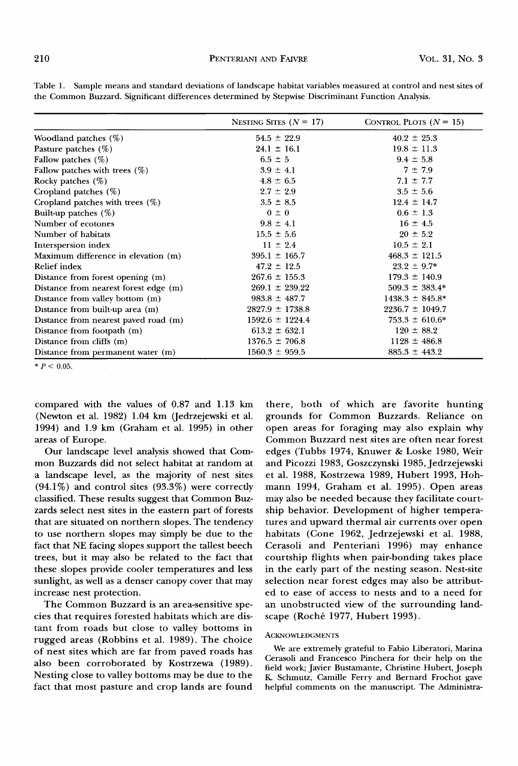|                                       | NESTING SITES $(N = 17)$ | CONTROL PLOTS $(N = 15)$ |
|---------------------------------------|--------------------------|--------------------------|
| Woodland patches $(\%)$               | $54.5 \pm 22.9$          | $40.2 \pm 25.3$          |
| Pasture patches $(\%)$                | $24.1 \pm 16.1$          | $19.8 \pm 11.3$          |
| Fallow patches $(\%)$                 | $6.5 \pm 5$              | $9.4 \pm 5.8$            |
| Fallow patches with trees $(\%)$      | $3.9 \pm 4.1$            | $7 \pm 7.9$              |
| Rocky patches $(\%)$                  | $4.8 \pm 6.5$            | $7.1 \pm 7.7$            |
| Cropland patches $(\%)$               | $2.7 \pm 2.9$            | $3.5 \pm 5.6$            |
| Cropland patches with trees $(\%)$    | $3.5 \pm 8.5$            | $12.4 \pm 14.7$          |
| Built-up patches $(\%)$               | $0 \pm 0$                | $0.6 \pm 1.3$            |
| Number of ecotones                    | $9.8 \pm 4.1$            | $16 \pm 4.5$             |
| Number of habitats                    | $15.5 \pm 5.6$           | $20 \pm 5.2$             |
| Interspersion index                   | $11 \pm 2.4$             | $10.5 \pm 2.1$           |
| Maximum difference in elevation (m)   | $395.1 \pm 165.7$        | $468.3 \pm 121.5$        |
| Relief index                          | $47.2 \pm 12.5$          | $23.2 \pm 9.7^*$         |
| Distance from forest opening (m)      | $267.6 \pm 155.3$        | $179.3 \pm 140.9$        |
| Distance from nearest forest edge (m) | $269.1 \pm 239.22$       | $509.3 \pm 383.4*$       |
| Distance from valley bottom (m)       | $983.8 \pm 487.7$        | $1438.3 \pm 845.8^*$     |
| Distance from built-up area (m)       | $2827.9 \pm 1738.8$      | $2236.7 \pm 1049.7$      |
| Distance from nearest paved road (m)  | $1592.6 \pm 1224.4$      | $753.3 \pm 610.6*$       |
| Distance from footpath (m)            | $613.2 \pm 632.1$        | $120 \pm 88.2$           |
| Distance from cliffs (m)              | $1376.5 \pm 706.8$       | $1128 \pm 486.8$         |
| Distance from permanent water (m)     | $1560.3 \pm 959.5$       | $885.3 \pm 443.2$        |

**Table 1. Sample means and standard deviations of landscape habitat variables measured at control and nest sites of the Common Buzzard. Significant differences determined by Stepwise Discriminant Function Analysis.** 

 $* P < 0.05$ .

**compared with the values of 0.87 and 1.13 km (Newton et al. 1982) 1.04 km (Jedrzejewski et al. 1994) and 1.9 km (Graham et al. 1995) in other areas of Europe.** 

**Our landscape level analysis showed that Common Buzzards did not select habitat at random at a landscape level, as the majority of nest sites (94.1%) and control sites (93.3%) were correctly**  classified. These results suggest that Common Buz**zards select nest sites in the eastern part of forests that are situated on northern slopes. The tendency to use northern slopes may simply be due to the fact that NE facing slopes support the tallest beech trees, but it may also be related to the fact that these slopes provide cooler temperatures and less sunlight, as well as a denser canopy cover that may increase nest protection.** 

**The Common Buzzard is an area-sensitive species that requires forested habitats which are distant from roads but close to valley bottoms in rugged areas (Robbins et al. 1989). The choice of nest sites which are far from paved roads has also been corroborated by Kostrzewa (1989). Nesting close to valley bottoms may be due to the fact that most pasture and crop lands are found** 

**there, both of which are favorite hunting grounds for Common Buzzards. Reliance on open areas for foraging may also explain why Common Buzzard nest sites are often near forest edges (Tubbs 1974, Knuwer & Loske 1980, Weir and Picozzi 1983, Goszczynski 1985,Jedrzejewski et al. 1988, Kostrzewa 1989, Hubert 1993, Hohmann 1994, Graham et al. 1995). Open areas may also be needed because they facilitate courtship behavior. Development of higher temperatures and upward thermal air currents over open habitats (Cone 1962, Jedrzejewski et al. 1988, Cerasoli and Penteriani 1996) may enhance courtship flights when pair-bonding takes place in the early part of the nesting season. Nest-site selection near forest edges may also be attributed to ease of access to nests and to a need for an unobstructed view of the surrounding landscape (Roch6 1977, Hubert 1993).** 

## **ACKNOWLEDGMENTS**

**We are extremely grateful to Fabio Liberatori, Marina Cerasoli and Francesco Pinchera for their help on the field work; Javier Bustamante, Christine Hubert, Joseph K. Schmutz, Camille Ferry and Bernard Frochot gave helpful comments on the manuscript. The Administra-**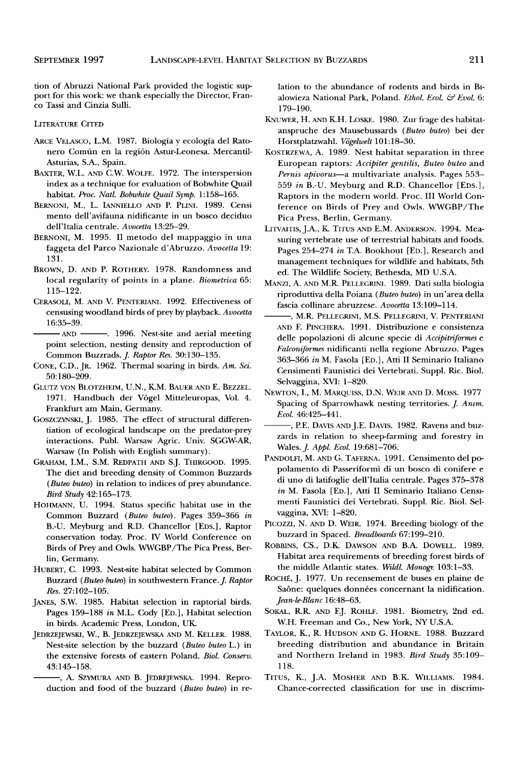**tion of Abruzzi National Park provided the logistic support for this work: we thank especially the Director, Franco Tassi and Cinzia Sulli.** 

#### **LITERATURE CITED**

- **ARCE VELASCO, L.M. 1987. Biologia y ecologia del Rato**nero Común en la región Astur-Leonesa. Mercantil-**Asturias, S.A., Spain.**
- **BAXTER, W.L. AND C.W. WOLFE. 1972. The interspersion index as a technique for evaluation of Bobwhite Quail habitat. Proc. Natl. Bobwhite Quail Symp. 1:158-165.**
- BERNONI, M., L. IANNIELLO AND P. PLINI. 1989. Censi **mento dell'avifauna nidificante in un bosco deciduo dell'Italia centrale. Avocetta 13:25-29.**
- **BERNONI, M. 1995. I1 metodo del mappaggio in una faggeta del Parco Nazionale d'Abruzzo. Avocetta 19: 131.**
- BROWN, D. AND P. ROTHERY. 1978. Randomness and **local regularity of points in a plane. Biometrica 65: 115-122.**
- **CERASOLI, M. AND V. PENTERIANI. 1992. Effectiveness of**  censusing woodland birds of prey by playback. Avocetta **16:35-39.**

- AND **------** 1996. Nest-site and aerial meeting **point selection, nesting density and reproduction of Common Buzzrads. J. Raptor Res. 30:130-135.** 

- **CONE, C.D., JR. 1962. Thermal soaring in birds. Am. Sci. 50:180-209.**
- GLUTZ VON BLOTZHEIM, U.N., K.M. BAUER AND E. BEZZEL. 1971. Handbuch der Vögel Mitteleuropas, Vol. 4. **Frankfurt am Main, Germany.**
- **GOSZCZYNSKI, J. 1985. The effect of structural differentiation of ecological landscape on the predator-prey interactions. Publ. Warsaw Agric. Univ. SGGW-AR, Warsaw (In Polish with English summary).**
- GRAHAM, I.M., S.M. REDPATH AND S.J. THIRGOOD. 1995. **The diet and breeding density of Common Buzzards (Buteo buteo) in relation to indices of prey abundance. Bird Study 42:165-173.**
- **HOHMANN, U. 1994. Status specific habitat use in the Common Buzzard (Buteo buteo). Pages 359-366 in**  B.-U. Meyburg and R.D. Chancellor [EDS.], Raptor **conservation today. Proc. IV World Conference on Birds of Prey and Owls. WWGBP/The Pica Press, Berlin, Germany.**
- **HUBERT, C. 1993. Nest-site habitat selected by Common Buzzard (Buteo buteo) in southwestern France. J. Raptor Res. 27:102-105.**
- **JANES, S.W. 1985. Habitat selection in raptorial birds. Pages 159-188 in M.L. Cody [ED.], Habitat selection in birds. Academic Press, London, UK.**
- **JEDRZEJEWSKI, W., B. JEDRZEJEWSKA AND M. KELLER. 1988. Nest-site selection by the buzzard (Buteo buteo L.) in the extensive forests of eastern Poland. Biol. Conserv. 43:145-158.** 
	- **--, A. SZYMURA AND B. JEDREJEWSKA. 1994. Reproduction and food of the buzzard (Buteo buteo) in re-**

**lation to the abundance of rodents and birds in Btalowieza National Park, Poland. Ethol. Ecol. & Evol. 6: 179-190.** 

- KNUWER, H. AND K.H. LOSKE. 1980. Zur frage des habitat**anspruche des Mausebussards (Buteo buteo) bei der**  Horstplatzwahl. Vögelwelt 101:18-30.
- **KOSTRZEWA, A. 1989. Nest habitat separation in three**  European raptors: Accipiter gentilis, Buteo buteo and Pernis apivorus-a multivariate analysis. Pages 553-**559 in B.-U. Meyburg and R.D. Chancellor [EDS.], Raptors in the modern world. Proc. III World Conference on Birds of Prey and Owls. WWGBP/The Pica Press, Berlin, Germany.**
- LITVAITIS, J.A., K. TITUS AND E.M. ANDERSON. 1994. Mea**suring vertebrate use of terrestrial habitats and foods. Pages 254-274 in TA. Bookhout [ED.], Research and management techniques for wildlife and habitats, 5th ed. The Wildlife Society, Bethesda, MD U.S.A.**
- **MANZl, A. AND M.R. PELLEGmNI. 1989. Dati sulla biologia riproduttiva della Poiana (Buteo buteo) in un'area della fascia collinare abruzzese. Avocetta 13:109-114.**
- **, M.R. PELLEGRINI, M.S. PELLEGRINI, g. PENTERIANI AND F. PINCHERA. 1991. Distribuzione e consistenza**  delle popolazioni di alcune specie di Accipitriformes e **Falconiformes nidificanti nella regione Abruzzo. Pages 363-366 in M. Fasola [ED.], Atti II Seminario Italiano Censimenti Faunistici dei Vertebrati. Suppl. Ric. Biol. Selvaggina, XVI: 1-820.**
- **NEWTON, I., M. MARQUISS, D.N. WEIR AND D. MOSS. 1977**  Spacing of Sparrowhawk nesting territories. *J. Anim.* **Ecol. 46:425-441.** 
	- -, P.E. DAVIS AND J.E. DAVIS. 1982. Ravens and buz**zards in relation to sheep-farming and forestry in Wales. J. Appl. Ecol. 19:681-706.**
- **PANDOLFI, M. AND G. TAFERNA. 1991. Censimento del popolamento di Passeriformi di un bosco di conifere e di uno di latifoglie dell'Italia centrale. Pages 375-378 in M. Fasola [ED.], Atti II Seminario Italiano Cens• menti Faunistici dei Vertebrati. Suppl. Ric. Biol. Selvaggina, XVI: 1-820.**
- **PIcOZZl, N. AND D. WEIR. 1974. Breeding biology of the buzzard in Spaced. Breadboards 67:199-210.**
- ROBBINS, CS., D.K. DAWSON AND B.A. DOWELL. 1989. **Habitat area requirements of breeding forest birds of**  the middle Atlantic states. Wildl. Monogr. 103:1-33.
- **ROCHg, J. 1977. Un recensement de buses en plaine de**  Saône: quelques données concernant la nidification. **Jeande-Blanc 16:48-63.**
- SOKAL, R.R. AND F.J. ROHLF. 1981. Biometry, 2nd ed. **W.H. Freeman and Co., New York, NY U.S.A.**
- **TAYLOR, K., R. HUDSON AND G. HORNE. 1988. Buzzard breeding distribution and abundance in Britain and Northern Ireland in 1983. Bird Study 35:109- 118.**
- **TITUS, K., J.A. MOSHER AND B.K. WILLIAMS. 1984. Chance-corrected classification for use in discrim•-**